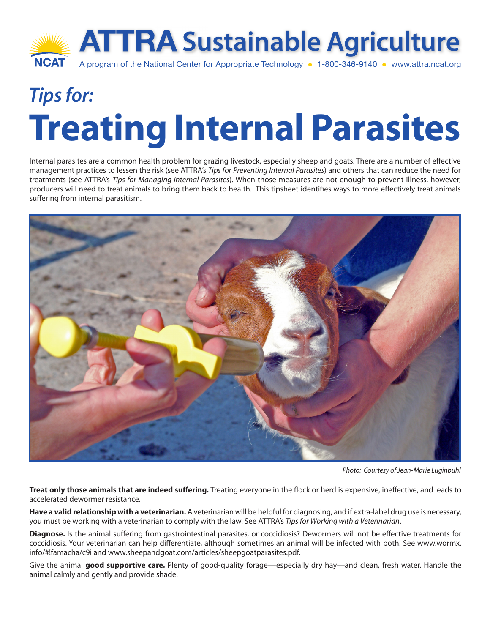

## *Tips for:* **Treating Internal Parasites**

Internal parasites are a common health problem for grazing livestock, especially sheep and goats. There are a number of effective management practices to lessen the risk (see ATTRA's *Tips for Preventing Internal Parasites*) and others that can reduce the need for treatments (see ATTRA's *Tips for Managing Internal Parasites*). When those measures are not enough to prevent illness, however, producers will need to treat animals to bring them back to health. This tipsheet identifies ways to more effectively treat animals suffering from internal parasitism.



*Photo: Courtesy of Jean-Marie Luginbuhl*

**Treat only those animals that are indeed suffering.** Treating everyone in the flock or herd is expensive, ineffective, and leads to accelerated dewormer resistance.

**Have a valid relationship with a veterinarian.** A veterinarian will be helpful for diagnosing, and if extra-label drug use is necessary, you must be working with a veterinarian to comply with the law. See ATTRA's *Tips for Working with a Veterinarian*.

**Diagnose.** Is the animal suffering from gastrointestinal parasites, or coccidiosis? Dewormers will not be effective treatments for coccidiosis. Your veterinarian can help differentiate, although sometimes an animal will be infected with both. See www.wormx. info/#!famacha/c9i and www.sheepandgoat.com/articles/sheepgoatparasites.pdf.

Give the animal **good supportive care.** Plenty of good-quality forage—especially dry hay—and clean, fresh water. Handle the animal calmly and gently and provide shade.